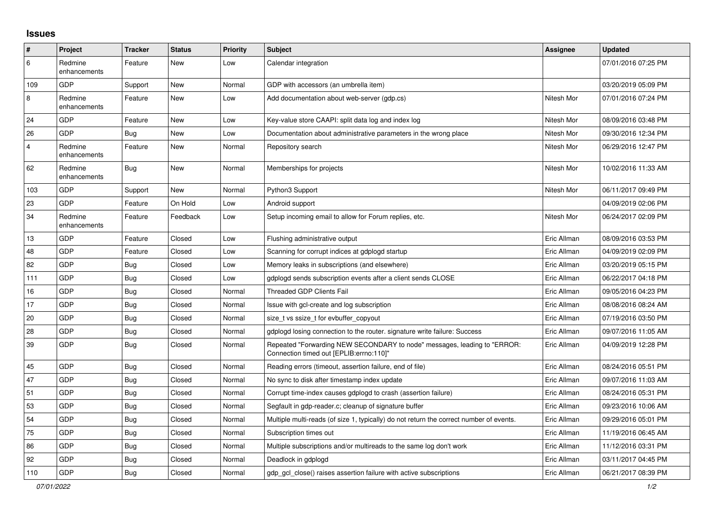## **Issues**

| #              | Project                 | <b>Tracker</b> | <b>Status</b> | <b>Priority</b> | <b>Subject</b>                                                                                                      | <b>Assignee</b> | <b>Updated</b>      |
|----------------|-------------------------|----------------|---------------|-----------------|---------------------------------------------------------------------------------------------------------------------|-----------------|---------------------|
| 6              | Redmine<br>enhancements | Feature        | New           | Low             | Calendar integration                                                                                                |                 | 07/01/2016 07:25 PM |
| 109            | GDP                     | Support        | New           | Normal          | GDP with accessors (an umbrella item)                                                                               |                 | 03/20/2019 05:09 PM |
| 8              | Redmine<br>enhancements | Feature        | New           | Low             | Add documentation about web-server (gdp.cs)                                                                         | Nitesh Mor      | 07/01/2016 07:24 PM |
| 24             | GDP                     | Feature        | New           | Low             | Key-value store CAAPI: split data log and index log                                                                 | Nitesh Mor      | 08/09/2016 03:48 PM |
| 26             | <b>GDP</b>              | Bug            | New           | Low             | Documentation about administrative parameters in the wrong place                                                    | Nitesh Mor      | 09/30/2016 12:34 PM |
| $\overline{4}$ | Redmine<br>enhancements | Feature        | <b>New</b>    | Normal          | Repository search                                                                                                   | Nitesh Mor      | 06/29/2016 12:47 PM |
| 62             | Redmine<br>enhancements | Bug            | New           | Normal          | Memberships for projects                                                                                            | Nitesh Mor      | 10/02/2016 11:33 AM |
| 103            | GDP                     | Support        | New           | Normal          | Python3 Support                                                                                                     | Nitesh Mor      | 06/11/2017 09:49 PM |
| 23             | <b>GDP</b>              | Feature        | On Hold       | Low             | Android support                                                                                                     |                 | 04/09/2019 02:06 PM |
| 34             | Redmine<br>enhancements | Feature        | Feedback      | Low             | Setup incoming email to allow for Forum replies, etc.                                                               | Nitesh Mor      | 06/24/2017 02:09 PM |
| 13             | GDP                     | Feature        | Closed        | Low             | Flushing administrative output                                                                                      | Eric Allman     | 08/09/2016 03:53 PM |
| 48             | GDP                     | Feature        | Closed        | Low             | Scanning for corrupt indices at gdplogd startup                                                                     | Eric Allman     | 04/09/2019 02:09 PM |
| 82             | GDP                     | <b>Bug</b>     | Closed        | Low             | Memory leaks in subscriptions (and elsewhere)                                                                       | Eric Allman     | 03/20/2019 05:15 PM |
| 111            | <b>GDP</b>              | <b>Bug</b>     | Closed        | Low             | gdplogd sends subscription events after a client sends CLOSE                                                        | Eric Allman     | 06/22/2017 04:18 PM |
| 16             | GDP                     | Bug            | Closed        | Normal          | <b>Threaded GDP Clients Fail</b>                                                                                    | Eric Allman     | 09/05/2016 04:23 PM |
| 17             | GDP                     | <b>Bug</b>     | Closed        | Normal          | Issue with gcl-create and log subscription                                                                          | Eric Allman     | 08/08/2016 08:24 AM |
| 20             | GDP                     | Bug            | Closed        | Normal          | size t vs ssize t for evbuffer copyout                                                                              | Eric Allman     | 07/19/2016 03:50 PM |
| 28             | GDP                     | <b>Bug</b>     | Closed        | Normal          | adpload losing connection to the router, signature write failure: Success                                           | Eric Allman     | 09/07/2016 11:05 AM |
| 39             | <b>GDP</b>              | <b>Bug</b>     | Closed        | Normal          | Repeated "Forwarding NEW SECONDARY to node" messages, leading to "ERROR:<br>Connection timed out [EPLIB:errno:110]" | Eric Allman     | 04/09/2019 12:28 PM |
| 45             | GDP                     | <b>Bug</b>     | Closed        | Normal          | Reading errors (timeout, assertion failure, end of file)                                                            | Eric Allman     | 08/24/2016 05:51 PM |
| 47             | GDP                     | <b>Bug</b>     | Closed        | Normal          | No sync to disk after timestamp index update                                                                        | Eric Allman     | 09/07/2016 11:03 AM |
| 51             | GDP                     | Bug            | Closed        | Normal          | Corrupt time-index causes gdplogd to crash (assertion failure)                                                      | Eric Allman     | 08/24/2016 05:31 PM |
| 53             | <b>GDP</b>              | <b>Bug</b>     | Closed        | Normal          | Segfault in gdp-reader.c; cleanup of signature buffer                                                               | Eric Allman     | 09/23/2016 10:06 AM |
| 54             | GDP                     | Bug            | Closed        | Normal          | Multiple multi-reads (of size 1, typically) do not return the correct number of events.                             | Eric Allman     | 09/29/2016 05:01 PM |
| 75             | GDP                     | <b>Bug</b>     | Closed        | Normal          | Subscription times out                                                                                              | Eric Allman     | 11/19/2016 06:45 AM |
| 86             | GDP                     | <b>Bug</b>     | Closed        | Normal          | Multiple subscriptions and/or multireads to the same log don't work                                                 | Eric Allman     | 11/12/2016 03:31 PM |
| 92             | GDP                     | <b>Bug</b>     | Closed        | Normal          | Deadlock in gdplogd                                                                                                 | Eric Allman     | 03/11/2017 04:45 PM |
| 110            | <b>GDP</b>              | Bug            | Closed        | Normal          | gdp_gcl_close() raises assertion failure with active subscriptions                                                  | Eric Allman     | 06/21/2017 08:39 PM |